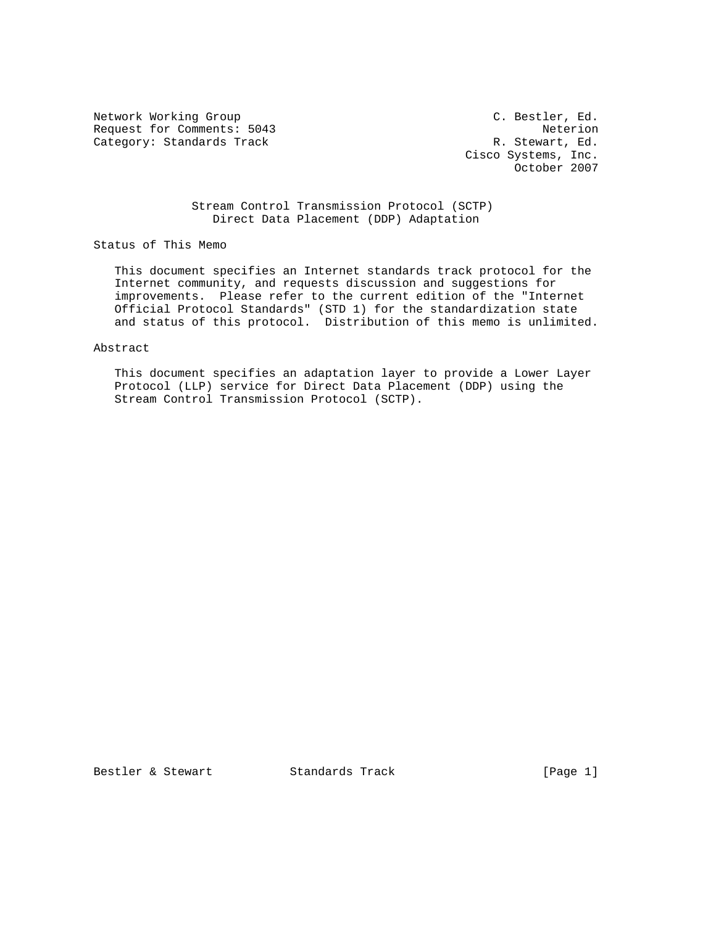Network Working Group C. Bestler, Ed. Request for Comments: 5043 Neterion<br>Category: Standards Track R. Stewart, Ed. Category: Standards Track

 Cisco Systems, Inc. October 2007

 Stream Control Transmission Protocol (SCTP) Direct Data Placement (DDP) Adaptation

Status of This Memo

 This document specifies an Internet standards track protocol for the Internet community, and requests discussion and suggestions for improvements. Please refer to the current edition of the "Internet Official Protocol Standards" (STD 1) for the standardization state and status of this protocol. Distribution of this memo is unlimited.

Abstract

 This document specifies an adaptation layer to provide a Lower Layer Protocol (LLP) service for Direct Data Placement (DDP) using the Stream Control Transmission Protocol (SCTP).

Bestler & Stewart Standards Track [Page 1]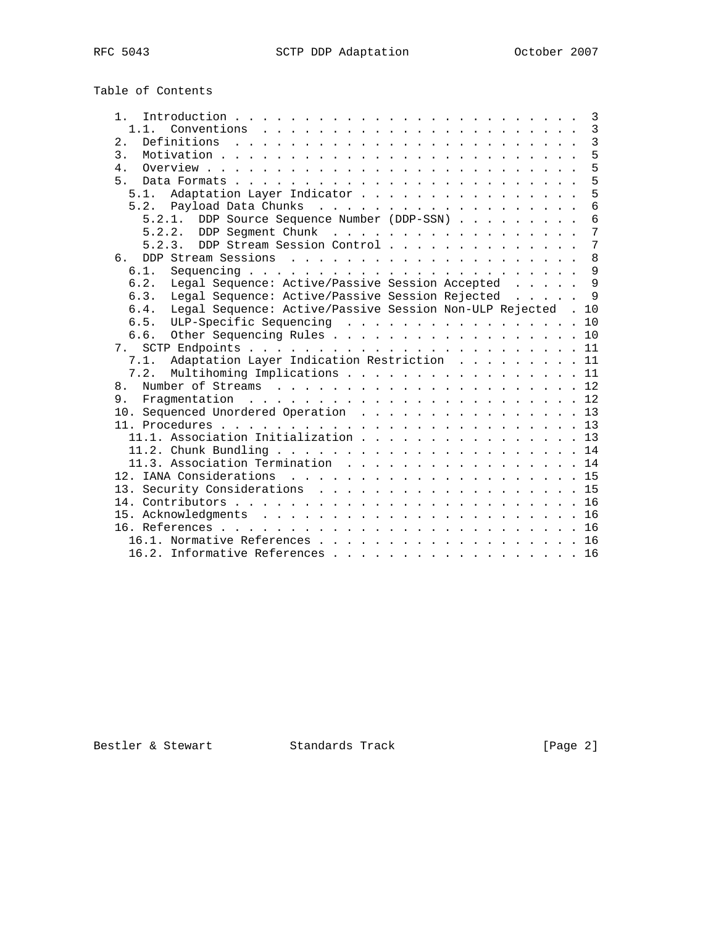Table of Contents

| 1.                                                                   |  | 3               |
|----------------------------------------------------------------------|--|-----------------|
| 1 1                                                                  |  | $\overline{3}$  |
| 2.                                                                   |  | $\overline{3}$  |
| $\overline{3}$ .                                                     |  | 5               |
| $\overline{4}$                                                       |  | 5               |
| 5.                                                                   |  | 5               |
| 5.1. Adaptation Layer Indicator                                      |  | 5               |
|                                                                      |  | $\overline{6}$  |
| 5.2.1. DDP Source Sequence Number (DDP-SSN)                          |  | 6               |
| 5.2.2. DDP Segment Chunk                                             |  | $\overline{7}$  |
| DDP Stream Session Control<br>5.2.3.                                 |  | $7\phantom{.0}$ |
| რ —                                                                  |  | 8               |
| 6.1.                                                                 |  | 9               |
| Legal Sequence: Active/Passive Session Accepted<br>6.2.              |  | 9               |
| Legal Sequence: Active/Passive Session Rejected<br>6.3.              |  | $\mathsf{Q}$    |
| Legal Sequence: Active/Passive Session Non-ULP Rejected . 10<br>6.4. |  |                 |
| ULP-Specific Sequencing<br>6.5.                                      |  | 10              |
| 6.6.                                                                 |  | 10              |
| 7                                                                    |  |                 |
| Adaptation Layer Indication Restriction 11<br>7.1.                   |  |                 |
| 7.2.<br>Multihoming Implications 11                                  |  |                 |
| 8 <sub>1</sub>                                                       |  |                 |
| 9 <sub>1</sub>                                                       |  |                 |
| 10. Sequenced Unordered Operation 13                                 |  |                 |
|                                                                      |  |                 |
| 11.1. Association Initialization 13                                  |  |                 |
|                                                                      |  |                 |
| 11.3. Association Termination 14                                     |  |                 |
|                                                                      |  |                 |
|                                                                      |  |                 |
| 13. Security Considerations 15                                       |  | 16              |
|                                                                      |  |                 |
|                                                                      |  |                 |
|                                                                      |  |                 |
| 16.1. Normative References 16                                        |  |                 |
| 16.2. Informative References 16                                      |  |                 |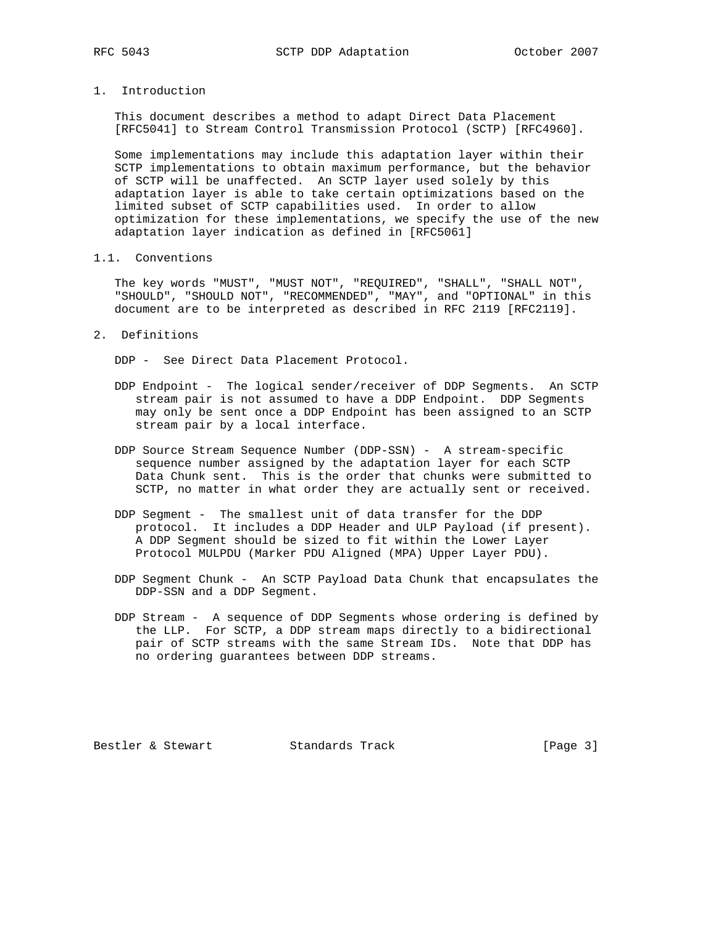- 
- 1. Introduction

 This document describes a method to adapt Direct Data Placement [RFC5041] to Stream Control Transmission Protocol (SCTP) [RFC4960].

 Some implementations may include this adaptation layer within their SCTP implementations to obtain maximum performance, but the behavior of SCTP will be unaffected. An SCTP layer used solely by this adaptation layer is able to take certain optimizations based on the limited subset of SCTP capabilities used. In order to allow optimization for these implementations, we specify the use of the new adaptation layer indication as defined in [RFC5061]

1.1. Conventions

 The key words "MUST", "MUST NOT", "REQUIRED", "SHALL", "SHALL NOT", "SHOULD", "SHOULD NOT", "RECOMMENDED", "MAY", and "OPTIONAL" in this document are to be interpreted as described in RFC 2119 [RFC2119].

2. Definitions

DDP - See Direct Data Placement Protocol.

- DDP Endpoint The logical sender/receiver of DDP Segments. An SCTP stream pair is not assumed to have a DDP Endpoint. DDP Segments may only be sent once a DDP Endpoint has been assigned to an SCTP stream pair by a local interface.
- DDP Source Stream Sequence Number (DDP-SSN) A stream-specific sequence number assigned by the adaptation layer for each SCTP Data Chunk sent. This is the order that chunks were submitted to SCTP, no matter in what order they are actually sent or received.
- DDP Segment The smallest unit of data transfer for the DDP protocol. It includes a DDP Header and ULP Payload (if present). A DDP Segment should be sized to fit within the Lower Layer Protocol MULPDU (Marker PDU Aligned (MPA) Upper Layer PDU).
- DDP Segment Chunk An SCTP Payload Data Chunk that encapsulates the DDP-SSN and a DDP Segment.
- DDP Stream A sequence of DDP Segments whose ordering is defined by the LLP. For SCTP, a DDP stream maps directly to a bidirectional pair of SCTP streams with the same Stream IDs. Note that DDP has no ordering guarantees between DDP streams.

Bestler & Stewart Standards Track [Page 3]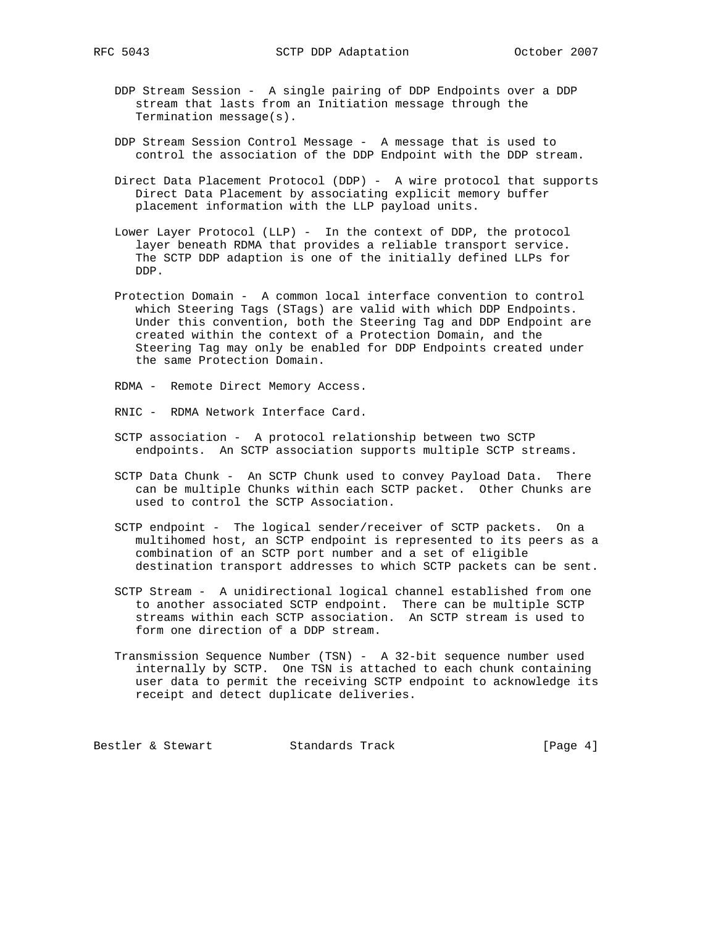- DDP Stream Session A single pairing of DDP Endpoints over a DDP stream that lasts from an Initiation message through the Termination message(s).
- DDP Stream Session Control Message A message that is used to control the association of the DDP Endpoint with the DDP stream.
- Direct Data Placement Protocol (DDP) A wire protocol that supports Direct Data Placement by associating explicit memory buffer placement information with the LLP payload units.
- Lower Layer Protocol (LLP) In the context of DDP, the protocol layer beneath RDMA that provides a reliable transport service. The SCTP DDP adaption is one of the initially defined LLPs for DDP.
- Protection Domain A common local interface convention to control which Steering Tags (STags) are valid with which DDP Endpoints. Under this convention, both the Steering Tag and DDP Endpoint are created within the context of a Protection Domain, and the Steering Tag may only be enabled for DDP Endpoints created under the same Protection Domain.
- RDMA Remote Direct Memory Access.
- RNIC RDMA Network Interface Card.
- SCTP association A protocol relationship between two SCTP endpoints. An SCTP association supports multiple SCTP streams.
- SCTP Data Chunk An SCTP Chunk used to convey Payload Data. There can be multiple Chunks within each SCTP packet. Other Chunks are used to control the SCTP Association.
- SCTP endpoint The logical sender/receiver of SCTP packets. On a multihomed host, an SCTP endpoint is represented to its peers as a combination of an SCTP port number and a set of eligible destination transport addresses to which SCTP packets can be sent.
- SCTP Stream A unidirectional logical channel established from one to another associated SCTP endpoint. There can be multiple SCTP streams within each SCTP association. An SCTP stream is used to form one direction of a DDP stream.
	- Transmission Sequence Number (TSN) A 32-bit sequence number used internally by SCTP. One TSN is attached to each chunk containing user data to permit the receiving SCTP endpoint to acknowledge its receipt and detect duplicate deliveries.

Bestler & Stewart Standards Track [Page 4]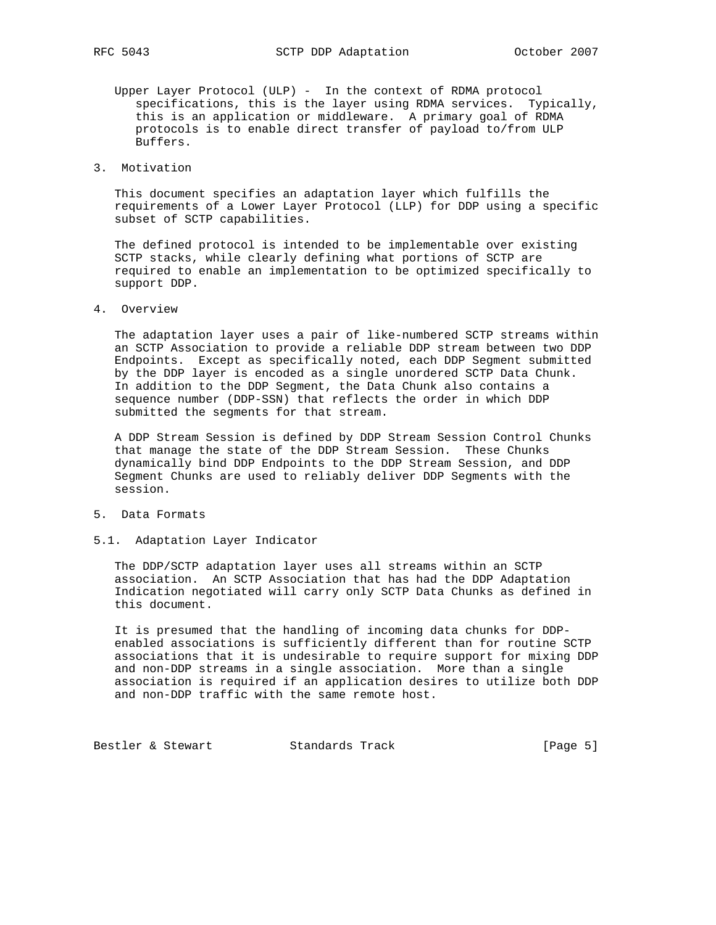- Upper Layer Protocol (ULP) In the context of RDMA protocol specifications, this is the layer using RDMA services. Typically, this is an application or middleware. A primary goal of RDMA protocols is to enable direct transfer of payload to/from ULP Buffers.
- 3. Motivation

 This document specifies an adaptation layer which fulfills the requirements of a Lower Layer Protocol (LLP) for DDP using a specific subset of SCTP capabilities.

 The defined protocol is intended to be implementable over existing SCTP stacks, while clearly defining what portions of SCTP are required to enable an implementation to be optimized specifically to support DDP.

4. Overview

 The adaptation layer uses a pair of like-numbered SCTP streams within an SCTP Association to provide a reliable DDP stream between two DDP Endpoints. Except as specifically noted, each DDP Segment submitted by the DDP layer is encoded as a single unordered SCTP Data Chunk. In addition to the DDP Segment, the Data Chunk also contains a sequence number (DDP-SSN) that reflects the order in which DDP submitted the segments for that stream.

 A DDP Stream Session is defined by DDP Stream Session Control Chunks that manage the state of the DDP Stream Session. These Chunks dynamically bind DDP Endpoints to the DDP Stream Session, and DDP Segment Chunks are used to reliably deliver DDP Segments with the session.

- 5. Data Formats
- 5.1. Adaptation Layer Indicator

 The DDP/SCTP adaptation layer uses all streams within an SCTP association. An SCTP Association that has had the DDP Adaptation Indication negotiated will carry only SCTP Data Chunks as defined in this document.

 It is presumed that the handling of incoming data chunks for DDP enabled associations is sufficiently different than for routine SCTP associations that it is undesirable to require support for mixing DDP and non-DDP streams in a single association. More than a single association is required if an application desires to utilize both DDP and non-DDP traffic with the same remote host.

Bestler & Stewart Standards Track [Page 5]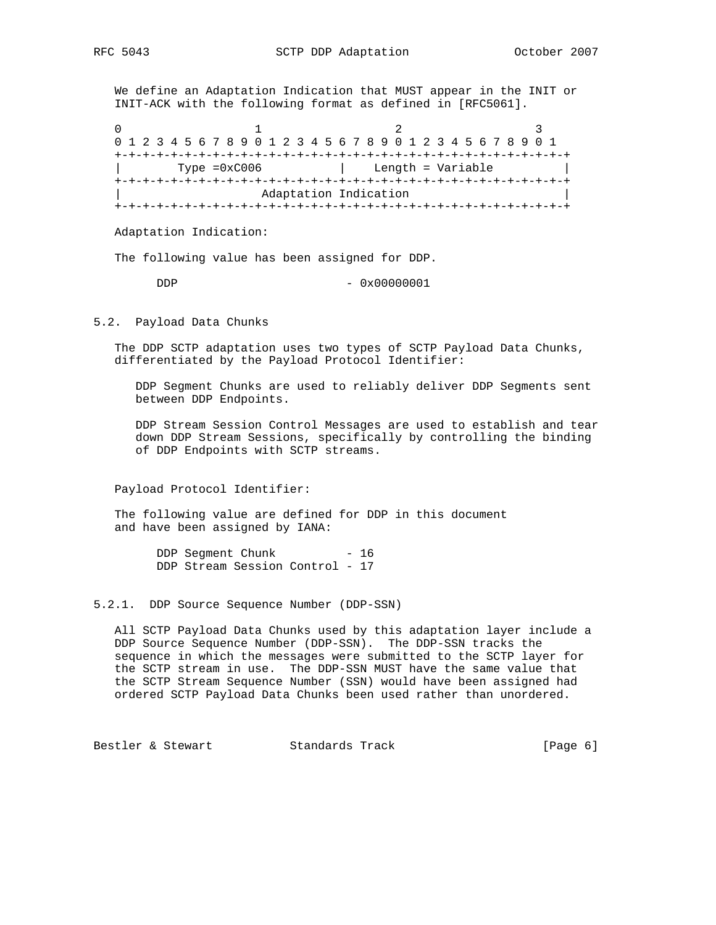We define an Adaptation Indication that MUST appear in the INIT or INIT-ACK with the following format as defined in [RFC5061].

0  $1$  2 3 0 1 2 3 4 5 6 7 8 9 0 1 2 3 4 5 6 7 8 9 0 1 2 3 4 5 6 7 8 9 0 1 +-+-+-+-+-+-+-+-+-+-+-+-+-+-+-+-+-+-+-+-+-+-+-+-+-+-+-+-+-+-+-+-+ Type =0xC006 | Length = Variable +-+-+-+-+-+-+-+-+-+-+-+-+-+-+-+-+-+-+-+-+-+-+-+-+-+-+-+-+-+-+-+-+ Adaptation Indication +-+-+-+-+-+-+-+-+-+-+-+-+-+-+-+-+-+-+-+-+-+-+-+-+-+-+-+-+-+-+-+-+

Adaptation Indication:

The following value has been assigned for DDP.

DDP - 0x00000001

5.2. Payload Data Chunks

 The DDP SCTP adaptation uses two types of SCTP Payload Data Chunks, differentiated by the Payload Protocol Identifier:

 DDP Segment Chunks are used to reliably deliver DDP Segments sent between DDP Endpoints.

 DDP Stream Session Control Messages are used to establish and tear down DDP Stream Sessions, specifically by controlling the binding of DDP Endpoints with SCTP streams.

Payload Protocol Identifier:

 The following value are defined for DDP in this document and have been assigned by IANA:

> DDP Segment Chunk - 16 DDP Stream Session Control - 17

#### 5.2.1. DDP Source Sequence Number (DDP-SSN)

 All SCTP Payload Data Chunks used by this adaptation layer include a DDP Source Sequence Number (DDP-SSN). The DDP-SSN tracks the sequence in which the messages were submitted to the SCTP layer for the SCTP stream in use. The DDP-SSN MUST have the same value that the SCTP Stream Sequence Number (SSN) would have been assigned had ordered SCTP Payload Data Chunks been used rather than unordered.

Bestler & Stewart Standards Track [Page 6]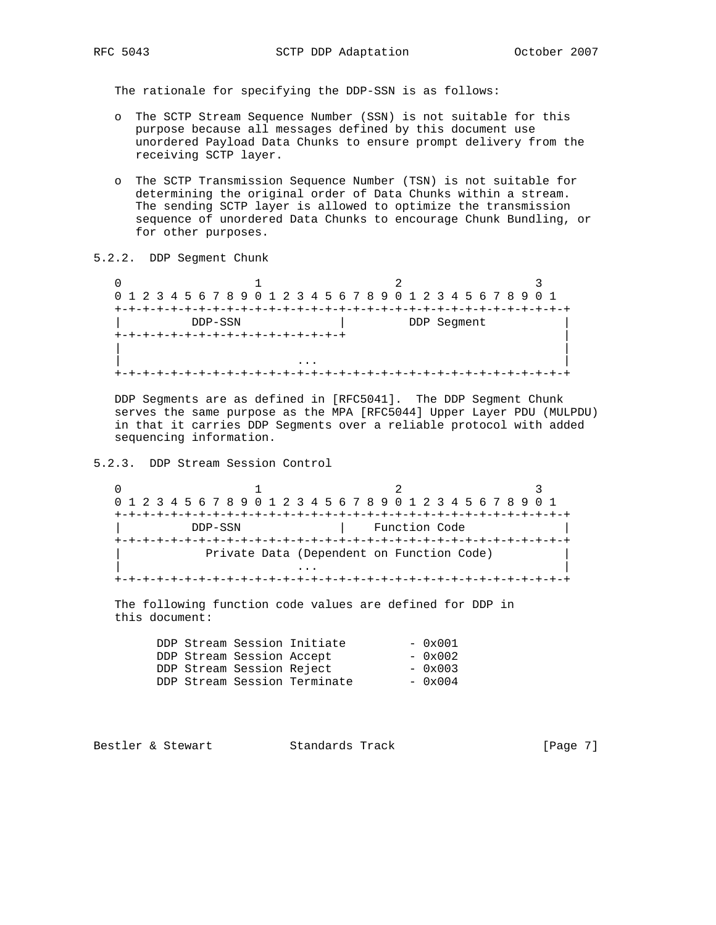The rationale for specifying the DDP-SSN is as follows:

- o The SCTP Stream Sequence Number (SSN) is not suitable for this purpose because all messages defined by this document use unordered Payload Data Chunks to ensure prompt delivery from the receiving SCTP layer.
- o The SCTP Transmission Sequence Number (TSN) is not suitable for determining the original order of Data Chunks within a stream. The sending SCTP layer is allowed to optimize the transmission sequence of unordered Data Chunks to encourage Chunk Bundling, or for other purposes.
- 5.2.2. DDP Segment Chunk

 $\begin{array}{ccccccc}\n0 & & & 1 & & & 2 & & 3\n\end{array}$  0 1 2 3 4 5 6 7 8 9 0 1 2 3 4 5 6 7 8 9 0 1 2 3 4 5 6 7 8 9 0 1 +-+-+-+-+-+-+-+-+-+-+-+-+-+-+-+-+-+-+-+-+-+-+-+-+-+-+-+-+-+-+-+-+ DDP-SSN | DDP Segment +-+-+-+-+-+-+-+-+-+-+-+-+-+-+-+-+ | | | | ... | ... | ... | ... | ... | ... | ... | ... | ... | ... | ... | ... | ... | ... | ... | ... | ... | ... | . +-+-+-+-+-+-+-+-+-+-+-+-+-+-+-+-+-+-+-+-+-+-+-+-+-+-+-+-+-+-+-+-+

 DDP Segments are as defined in [RFC5041]. The DDP Segment Chunk serves the same purpose as the MPA [RFC5044] Upper Layer PDU (MULPDU) in that it carries DDP Segments over a reliable protocol with added sequencing information.

5.2.3. DDP Stream Session Control

0  $1$  2 3 0 1 2 3 4 5 6 7 8 9 0 1 2 3 4 5 6 7 8 9 0 1 2 3 4 5 6 7 8 9 0 1 +-+-+-+-+-+-+-+-+-+-+-+-+-+-+-+-+-+-+-+-+-+-+-+-+-+-+-+-+-+-+-+-+ DDP-SSN | Function Code +-+-+-+-+-+-+-+-+-+-+-+-+-+-+-+-+-+-+-+-+-+-+-+-+-+-+-+-+-+-+-+-+ Private Data (Dependent on Function Code) | ... | ... | ... | ... | ... | ... | ... | ... | ... | ... | ... | ... | ... | ... | ... | ... | ... | ... | . +-+-+-+-+-+-+-+-+-+-+-+-+-+-+-+-+-+-+-+-+-+-+-+-+-+-+-+-+-+-+-+-+

 The following function code values are defined for DDP in this document:

|  |                           | DDP Stream Session Initiate  | $-0x001$ |
|--|---------------------------|------------------------------|----------|
|  | DDP Stream Session Accept |                              | $-0x002$ |
|  | DDP Stream Session Reject |                              | $-0x003$ |
|  |                           | DDP Stream Session Terminate | $-0x004$ |
|  |                           |                              |          |

Bestler & Stewart Standards Track [Page 7]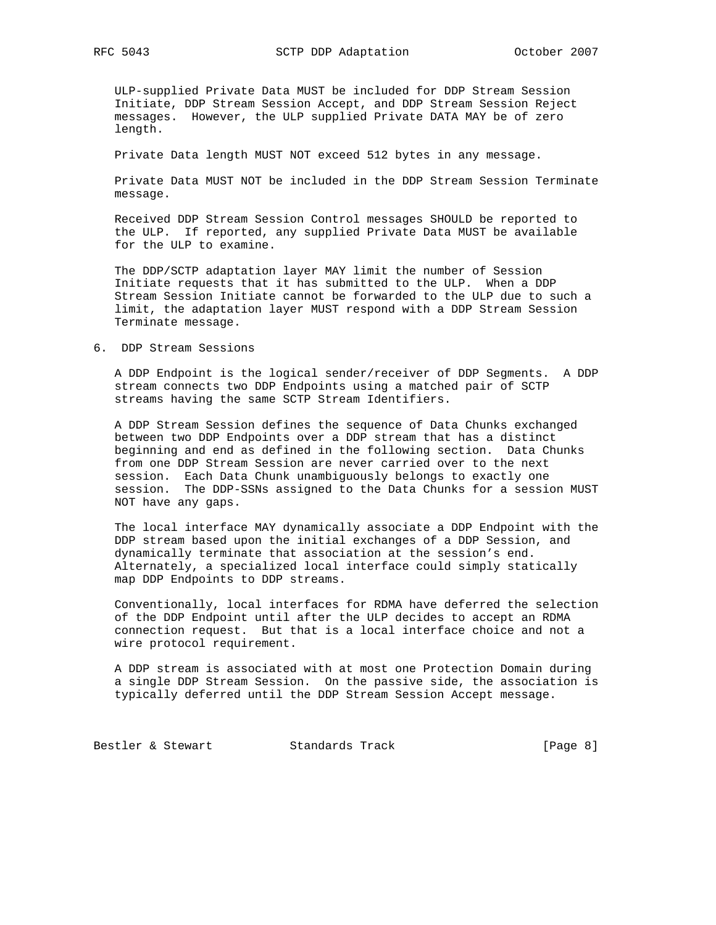ULP-supplied Private Data MUST be included for DDP Stream Session Initiate, DDP Stream Session Accept, and DDP Stream Session Reject messages. However, the ULP supplied Private DATA MAY be of zero length.

Private Data length MUST NOT exceed 512 bytes in any message.

 Private Data MUST NOT be included in the DDP Stream Session Terminate message.

 Received DDP Stream Session Control messages SHOULD be reported to the ULP. If reported, any supplied Private Data MUST be available for the ULP to examine.

 The DDP/SCTP adaptation layer MAY limit the number of Session Initiate requests that it has submitted to the ULP. When a DDP Stream Session Initiate cannot be forwarded to the ULP due to such a limit, the adaptation layer MUST respond with a DDP Stream Session Terminate message.

## 6. DDP Stream Sessions

 A DDP Endpoint is the logical sender/receiver of DDP Segments. A DDP stream connects two DDP Endpoints using a matched pair of SCTP streams having the same SCTP Stream Identifiers.

 A DDP Stream Session defines the sequence of Data Chunks exchanged between two DDP Endpoints over a DDP stream that has a distinct beginning and end as defined in the following section. Data Chunks from one DDP Stream Session are never carried over to the next session. Each Data Chunk unambiguously belongs to exactly one session. The DDP-SSNs assigned to the Data Chunks for a session MUST NOT have any gaps.

 The local interface MAY dynamically associate a DDP Endpoint with the DDP stream based upon the initial exchanges of a DDP Session, and dynamically terminate that association at the session's end. Alternately, a specialized local interface could simply statically map DDP Endpoints to DDP streams.

 Conventionally, local interfaces for RDMA have deferred the selection of the DDP Endpoint until after the ULP decides to accept an RDMA connection request. But that is a local interface choice and not a wire protocol requirement.

 A DDP stream is associated with at most one Protection Domain during a single DDP Stream Session. On the passive side, the association is typically deferred until the DDP Stream Session Accept message.

Bestler & Stewart Standards Track [Page 8]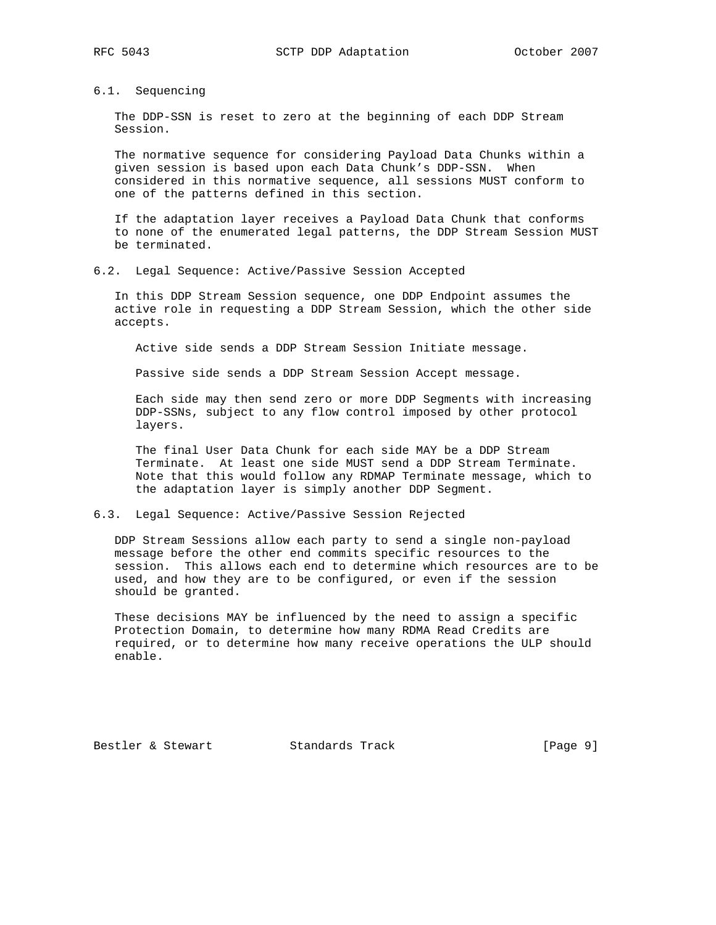# 6.1. Sequencing

 The DDP-SSN is reset to zero at the beginning of each DDP Stream Session.

 The normative sequence for considering Payload Data Chunks within a given session is based upon each Data Chunk's DDP-SSN. When considered in this normative sequence, all sessions MUST conform to one of the patterns defined in this section.

 If the adaptation layer receives a Payload Data Chunk that conforms to none of the enumerated legal patterns, the DDP Stream Session MUST be terminated.

6.2. Legal Sequence: Active/Passive Session Accepted

 In this DDP Stream Session sequence, one DDP Endpoint assumes the active role in requesting a DDP Stream Session, which the other side accepts.

Active side sends a DDP Stream Session Initiate message.

Passive side sends a DDP Stream Session Accept message.

 Each side may then send zero or more DDP Segments with increasing DDP-SSNs, subject to any flow control imposed by other protocol layers.

 The final User Data Chunk for each side MAY be a DDP Stream Terminate. At least one side MUST send a DDP Stream Terminate. Note that this would follow any RDMAP Terminate message, which to the adaptation layer is simply another DDP Segment.

# 6.3. Legal Sequence: Active/Passive Session Rejected

 DDP Stream Sessions allow each party to send a single non-payload message before the other end commits specific resources to the session. This allows each end to determine which resources are to be used, and how they are to be configured, or even if the session should be granted.

 These decisions MAY be influenced by the need to assign a specific Protection Domain, to determine how many RDMA Read Credits are required, or to determine how many receive operations the ULP should enable.

Bestler & Stewart Standards Track [Page 9]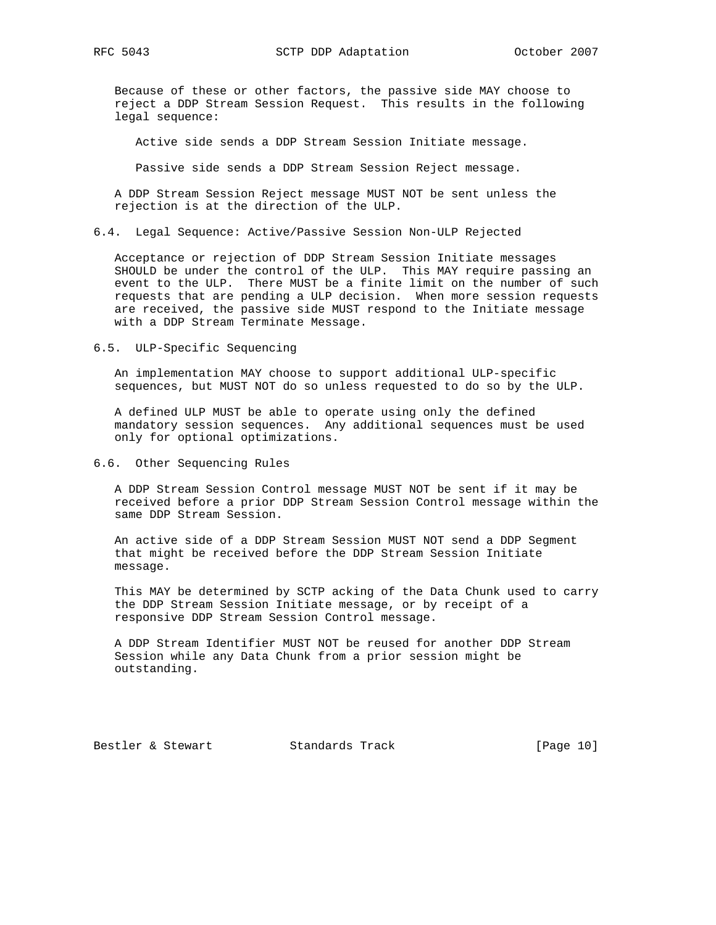Because of these or other factors, the passive side MAY choose to reject a DDP Stream Session Request. This results in the following legal sequence:

Active side sends a DDP Stream Session Initiate message.

Passive side sends a DDP Stream Session Reject message.

 A DDP Stream Session Reject message MUST NOT be sent unless the rejection is at the direction of the ULP.

6.4. Legal Sequence: Active/Passive Session Non-ULP Rejected

 Acceptance or rejection of DDP Stream Session Initiate messages SHOULD be under the control of the ULP. This MAY require passing an event to the ULP. There MUST be a finite limit on the number of such requests that are pending a ULP decision. When more session requests are received, the passive side MUST respond to the Initiate message with a DDP Stream Terminate Message.

#### 6.5. ULP-Specific Sequencing

 An implementation MAY choose to support additional ULP-specific sequences, but MUST NOT do so unless requested to do so by the ULP.

 A defined ULP MUST be able to operate using only the defined mandatory session sequences. Any additional sequences must be used only for optional optimizations.

#### 6.6. Other Sequencing Rules

 A DDP Stream Session Control message MUST NOT be sent if it may be received before a prior DDP Stream Session Control message within the same DDP Stream Session.

 An active side of a DDP Stream Session MUST NOT send a DDP Segment that might be received before the DDP Stream Session Initiate message.

 This MAY be determined by SCTP acking of the Data Chunk used to carry the DDP Stream Session Initiate message, or by receipt of a responsive DDP Stream Session Control message.

 A DDP Stream Identifier MUST NOT be reused for another DDP Stream Session while any Data Chunk from a prior session might be outstanding.

Bestler & Stewart Standards Track [Page 10]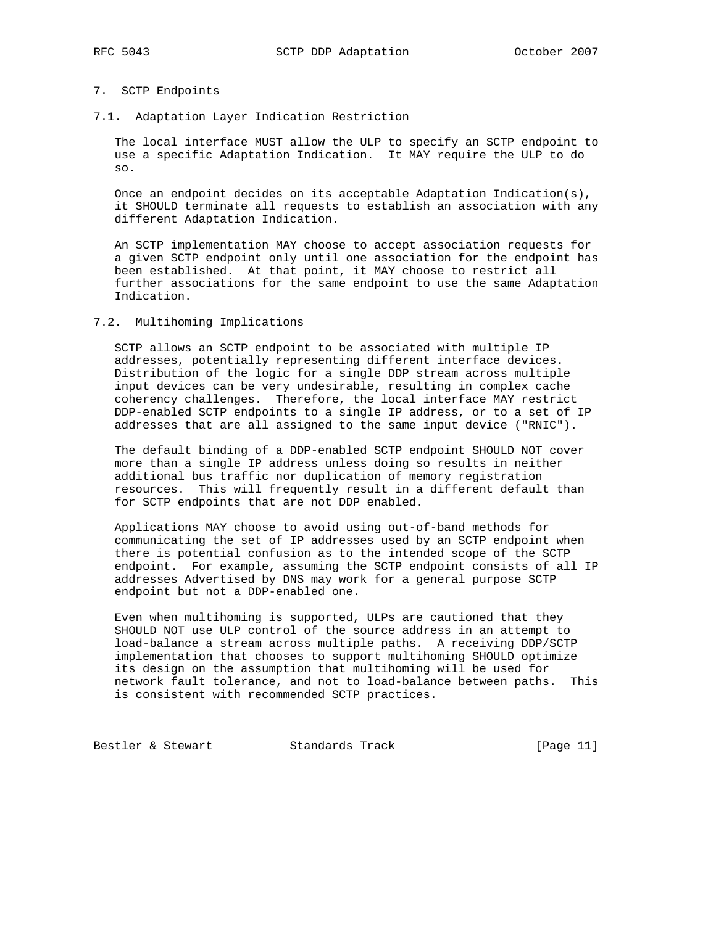## 7. SCTP Endpoints

7.1. Adaptation Layer Indication Restriction

 The local interface MUST allow the ULP to specify an SCTP endpoint to use a specific Adaptation Indication. It MAY require the ULP to do so.

 Once an endpoint decides on its acceptable Adaptation Indication(s), it SHOULD terminate all requests to establish an association with any different Adaptation Indication.

 An SCTP implementation MAY choose to accept association requests for a given SCTP endpoint only until one association for the endpoint has been established. At that point, it MAY choose to restrict all further associations for the same endpoint to use the same Adaptation Indication.

## 7.2. Multihoming Implications

 SCTP allows an SCTP endpoint to be associated with multiple IP addresses, potentially representing different interface devices. Distribution of the logic for a single DDP stream across multiple input devices can be very undesirable, resulting in complex cache coherency challenges. Therefore, the local interface MAY restrict DDP-enabled SCTP endpoints to a single IP address, or to a set of IP addresses that are all assigned to the same input device ("RNIC").

 The default binding of a DDP-enabled SCTP endpoint SHOULD NOT cover more than a single IP address unless doing so results in neither additional bus traffic nor duplication of memory registration resources. This will frequently result in a different default than for SCTP endpoints that are not DDP enabled.

 Applications MAY choose to avoid using out-of-band methods for communicating the set of IP addresses used by an SCTP endpoint when there is potential confusion as to the intended scope of the SCTP endpoint. For example, assuming the SCTP endpoint consists of all IP addresses Advertised by DNS may work for a general purpose SCTP endpoint but not a DDP-enabled one.

 Even when multihoming is supported, ULPs are cautioned that they SHOULD NOT use ULP control of the source address in an attempt to load-balance a stream across multiple paths. A receiving DDP/SCTP implementation that chooses to support multihoming SHOULD optimize its design on the assumption that multihoming will be used for network fault tolerance, and not to load-balance between paths. This is consistent with recommended SCTP practices.

Bestler & Stewart Standards Track [Page 11]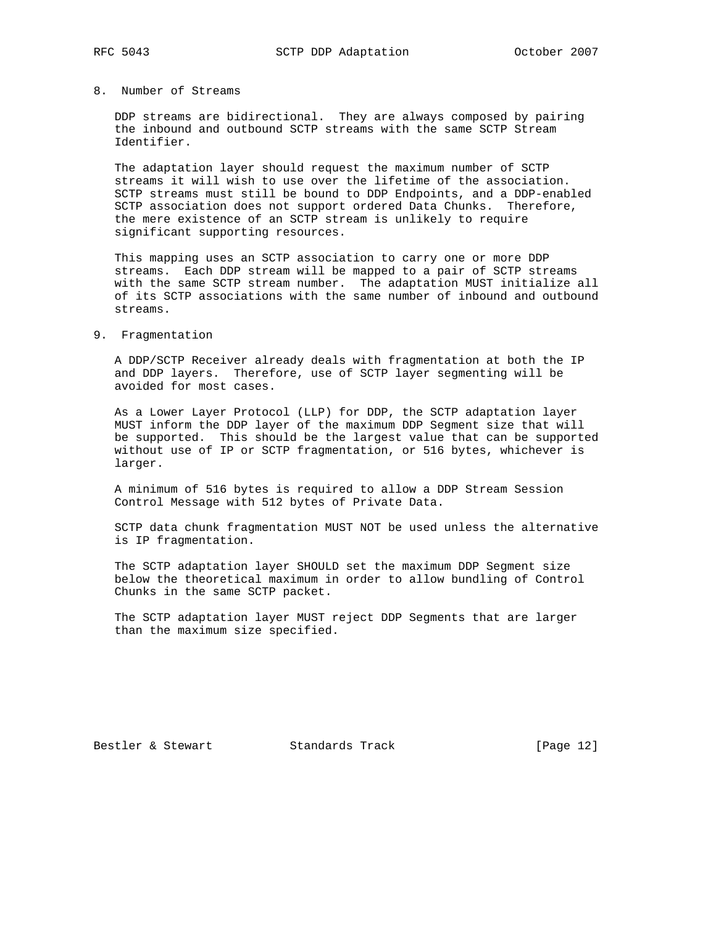## 8. Number of Streams

 DDP streams are bidirectional. They are always composed by pairing the inbound and outbound SCTP streams with the same SCTP Stream Identifier.

 The adaptation layer should request the maximum number of SCTP streams it will wish to use over the lifetime of the association. SCTP streams must still be bound to DDP Endpoints, and a DDP-enabled SCTP association does not support ordered Data Chunks. Therefore, the mere existence of an SCTP stream is unlikely to require significant supporting resources.

 This mapping uses an SCTP association to carry one or more DDP streams. Each DDP stream will be mapped to a pair of SCTP streams with the same SCTP stream number. The adaptation MUST initialize all of its SCTP associations with the same number of inbound and outbound streams.

#### 9. Fragmentation

 A DDP/SCTP Receiver already deals with fragmentation at both the IP and DDP layers. Therefore, use of SCTP layer segmenting will be avoided for most cases.

 As a Lower Layer Protocol (LLP) for DDP, the SCTP adaptation layer MUST inform the DDP layer of the maximum DDP Segment size that will be supported. This should be the largest value that can be supported without use of IP or SCTP fragmentation, or 516 bytes, whichever is larger.

 A minimum of 516 bytes is required to allow a DDP Stream Session Control Message with 512 bytes of Private Data.

 SCTP data chunk fragmentation MUST NOT be used unless the alternative is IP fragmentation.

 The SCTP adaptation layer SHOULD set the maximum DDP Segment size below the theoretical maximum in order to allow bundling of Control Chunks in the same SCTP packet.

 The SCTP adaptation layer MUST reject DDP Segments that are larger than the maximum size specified.

Bestler & Stewart Standards Track [Page 12]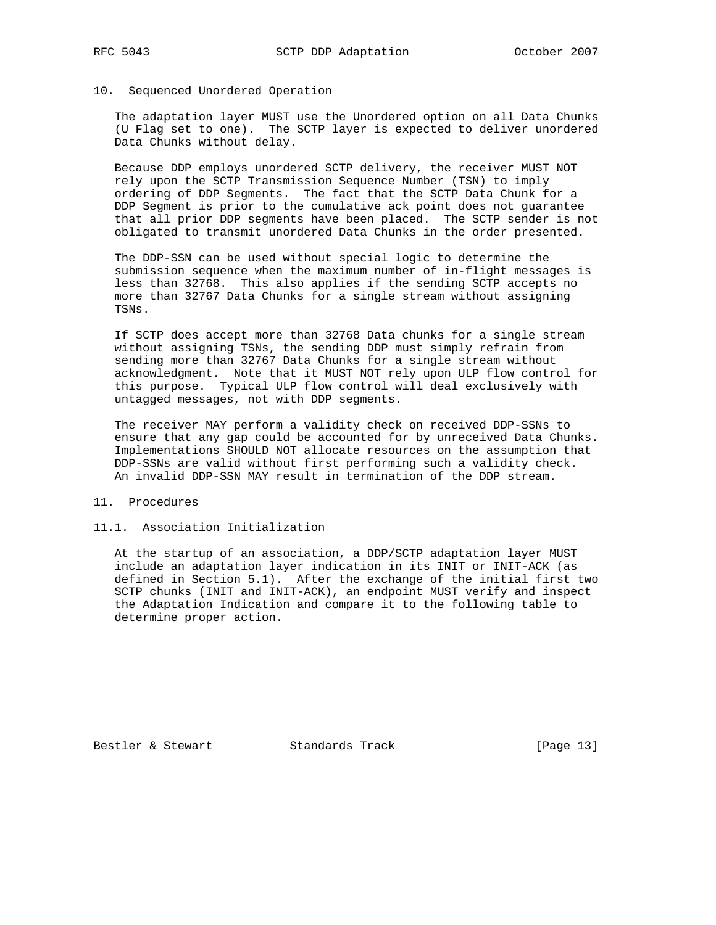#### 10. Sequenced Unordered Operation

 The adaptation layer MUST use the Unordered option on all Data Chunks (U Flag set to one). The SCTP layer is expected to deliver unordered Data Chunks without delay.

 Because DDP employs unordered SCTP delivery, the receiver MUST NOT rely upon the SCTP Transmission Sequence Number (TSN) to imply ordering of DDP Segments. The fact that the SCTP Data Chunk for a DDP Segment is prior to the cumulative ack point does not guarantee that all prior DDP segments have been placed. The SCTP sender is not obligated to transmit unordered Data Chunks in the order presented.

 The DDP-SSN can be used without special logic to determine the submission sequence when the maximum number of in-flight messages is less than 32768. This also applies if the sending SCTP accepts no more than 32767 Data Chunks for a single stream without assigning TSNs.

 If SCTP does accept more than 32768 Data chunks for a single stream without assigning TSNs, the sending DDP must simply refrain from sending more than 32767 Data Chunks for a single stream without acknowledgment. Note that it MUST NOT rely upon ULP flow control for this purpose. Typical ULP flow control will deal exclusively with untagged messages, not with DDP segments.

 The receiver MAY perform a validity check on received DDP-SSNs to ensure that any gap could be accounted for by unreceived Data Chunks. Implementations SHOULD NOT allocate resources on the assumption that DDP-SSNs are valid without first performing such a validity check. An invalid DDP-SSN MAY result in termination of the DDP stream.

#### 11. Procedures

#### 11.1. Association Initialization

 At the startup of an association, a DDP/SCTP adaptation layer MUST include an adaptation layer indication in its INIT or INIT-ACK (as defined in Section 5.1). After the exchange of the initial first two SCTP chunks (INIT and INIT-ACK), an endpoint MUST verify and inspect the Adaptation Indication and compare it to the following table to determine proper action.

Bestler & Stewart Standards Track [Page 13]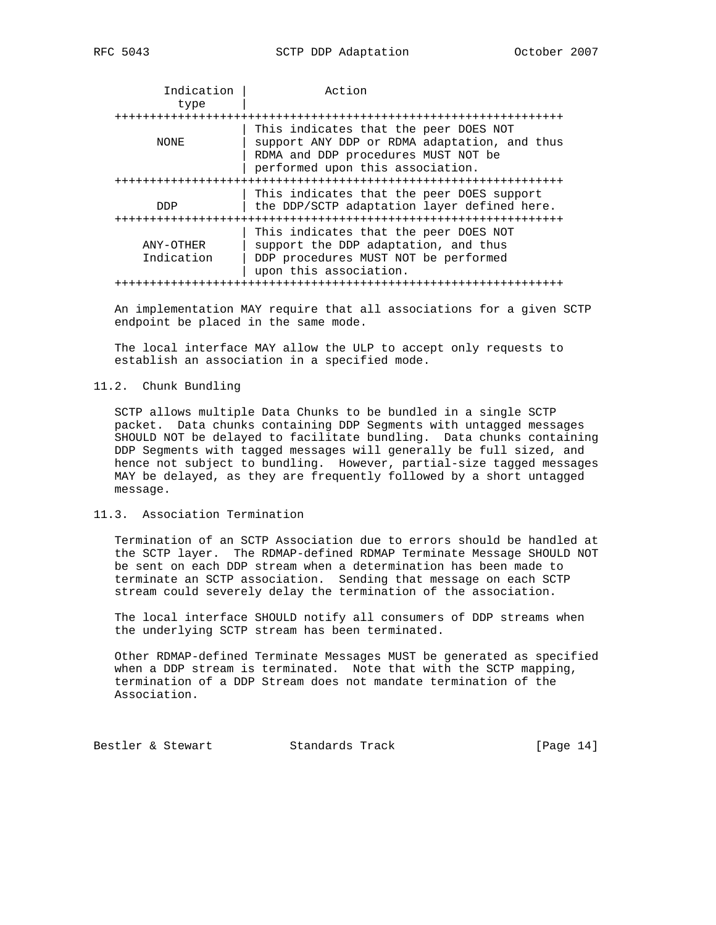|  | $\sqrt{ }$<br>ים כ<br>יח | n<br>4 |
|--|--------------------------|--------|
|--|--------------------------|--------|

| Indication              | Action                                                                                                                                                           |  |  |
|-------------------------|------------------------------------------------------------------------------------------------------------------------------------------------------------------|--|--|
| type                    |                                                                                                                                                                  |  |  |
|                         |                                                                                                                                                                  |  |  |
| NONE                    | This indicates that the peer DOES NOT<br>support ANY DDP or RDMA adaptation, and thus<br>RDMA and DDP procedures MUST NOT be<br>performed upon this association. |  |  |
|                         |                                                                                                                                                                  |  |  |
| <b>DDP</b>              | This indicates that the peer DOES support<br>the DDP/SCTP adaptation layer defined here.                                                                         |  |  |
| ANY-OTHER<br>Indication | This indicates that the peer DOES NOT<br>support the DDP adaptation, and thus<br>DDP procedures MUST NOT be performed<br>upon this association.                  |  |  |
|                         |                                                                                                                                                                  |  |  |

 An implementation MAY require that all associations for a given SCTP endpoint be placed in the same mode.

 The local interface MAY allow the ULP to accept only requests to establish an association in a specified mode.

#### 11.2. Chunk Bundling

 SCTP allows multiple Data Chunks to be bundled in a single SCTP packet. Data chunks containing DDP Segments with untagged messages SHOULD NOT be delayed to facilitate bundling. Data chunks containing DDP Segments with tagged messages will generally be full sized, and hence not subject to bundling. However, partial-size tagged messages MAY be delayed, as they are frequently followed by a short untagged message.

#### 11.3. Association Termination

 Termination of an SCTP Association due to errors should be handled at the SCTP layer. The RDMAP-defined RDMAP Terminate Message SHOULD NOT be sent on each DDP stream when a determination has been made to terminate an SCTP association. Sending that message on each SCTP stream could severely delay the termination of the association.

 The local interface SHOULD notify all consumers of DDP streams when the underlying SCTP stream has been terminated.

 Other RDMAP-defined Terminate Messages MUST be generated as specified when a DDP stream is terminated. Note that with the SCTP mapping, termination of a DDP Stream does not mandate termination of the Association.

Bestler & Stewart Standards Track [Page 14]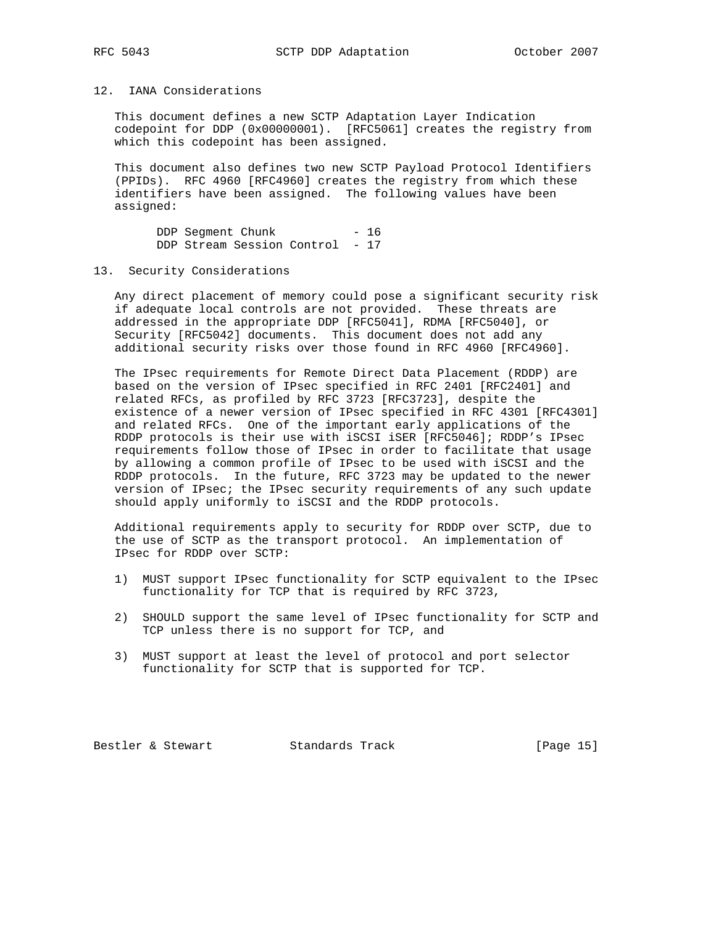# 12. IANA Considerations

 This document defines a new SCTP Adaptation Layer Indication codepoint for DDP (0x00000001). [RFC5061] creates the registry from which this codepoint has been assigned.

 This document also defines two new SCTP Payload Protocol Identifiers (PPIDs). RFC 4960 [RFC4960] creates the registry from which these identifiers have been assigned. The following values have been assigned:

DDP Segment Chunk - 16 DDP Stream Session Control - 17

## 13. Security Considerations

 Any direct placement of memory could pose a significant security risk if adequate local controls are not provided. These threats are addressed in the appropriate DDP [RFC5041], RDMA [RFC5040], or Security [RFC5042] documents. This document does not add any additional security risks over those found in RFC 4960 [RFC4960].

 The IPsec requirements for Remote Direct Data Placement (RDDP) are based on the version of IPsec specified in RFC 2401 [RFC2401] and related RFCs, as profiled by RFC 3723 [RFC3723], despite the existence of a newer version of IPsec specified in RFC 4301 [RFC4301] and related RFCs. One of the important early applications of the RDDP protocols is their use with iSCSI iSER [RFC5046]; RDDP's IPsec requirements follow those of IPsec in order to facilitate that usage by allowing a common profile of IPsec to be used with iSCSI and the RDDP protocols. In the future, RFC 3723 may be updated to the newer version of IPsec; the IPsec security requirements of any such update should apply uniformly to iSCSI and the RDDP protocols.

 Additional requirements apply to security for RDDP over SCTP, due to the use of SCTP as the transport protocol. An implementation of IPsec for RDDP over SCTP:

- 1) MUST support IPsec functionality for SCTP equivalent to the IPsec functionality for TCP that is required by RFC 3723,
- 2) SHOULD support the same level of IPsec functionality for SCTP and TCP unless there is no support for TCP, and
- 3) MUST support at least the level of protocol and port selector functionality for SCTP that is supported for TCP.

Bestler & Stewart Standards Track [Page 15]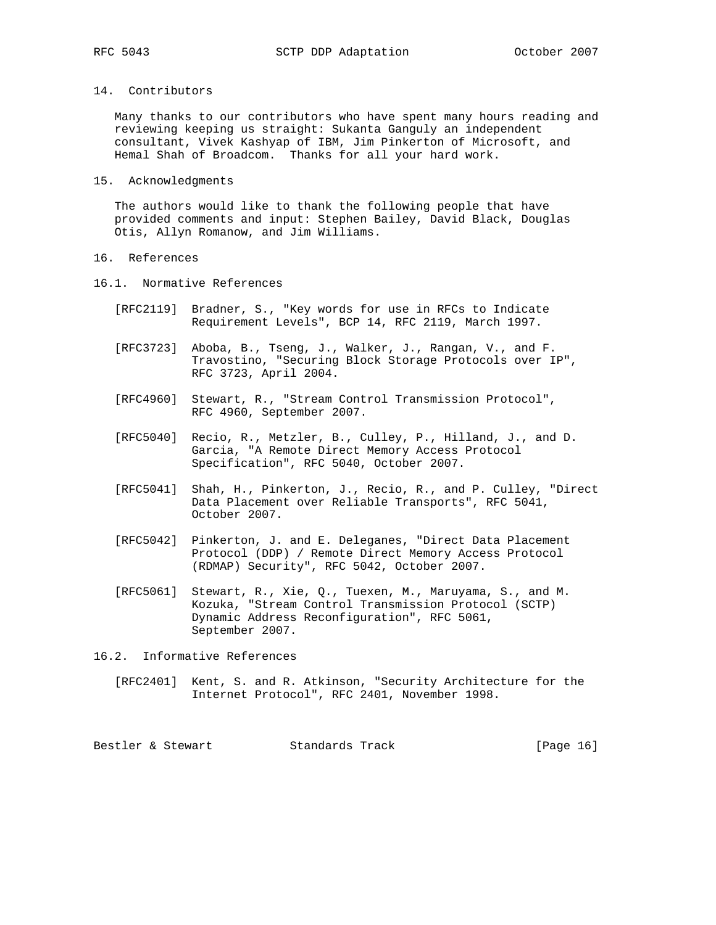## 14. Contributors

 Many thanks to our contributors who have spent many hours reading and reviewing keeping us straight: Sukanta Ganguly an independent consultant, Vivek Kashyap of IBM, Jim Pinkerton of Microsoft, and Hemal Shah of Broadcom. Thanks for all your hard work.

#### 15. Acknowledgments

 The authors would like to thank the following people that have provided comments and input: Stephen Bailey, David Black, Douglas Otis, Allyn Romanow, and Jim Williams.

## 16. References

- 16.1. Normative References
	- [RFC2119] Bradner, S., "Key words for use in RFCs to Indicate Requirement Levels", BCP 14, RFC 2119, March 1997.
	- [RFC3723] Aboba, B., Tseng, J., Walker, J., Rangan, V., and F. Travostino, "Securing Block Storage Protocols over IP", RFC 3723, April 2004.
	- [RFC4960] Stewart, R., "Stream Control Transmission Protocol", RFC 4960, September 2007.
	- [RFC5040] Recio, R., Metzler, B., Culley, P., Hilland, J., and D. Garcia, "A Remote Direct Memory Access Protocol Specification", RFC 5040, October 2007.
	- [RFC5041] Shah, H., Pinkerton, J., Recio, R., and P. Culley, "Direct Data Placement over Reliable Transports", RFC 5041, October 2007.
	- [RFC5042] Pinkerton, J. and E. Deleganes, "Direct Data Placement Protocol (DDP) / Remote Direct Memory Access Protocol (RDMAP) Security", RFC 5042, October 2007.
	- [RFC5061] Stewart, R., Xie, Q., Tuexen, M., Maruyama, S., and M. Kozuka, "Stream Control Transmission Protocol (SCTP) Dynamic Address Reconfiguration", RFC 5061, September 2007.
- 16.2. Informative References
	- [RFC2401] Kent, S. and R. Atkinson, "Security Architecture for the Internet Protocol", RFC 2401, November 1998.

Bestler & Stewart Standards Track [Page 16]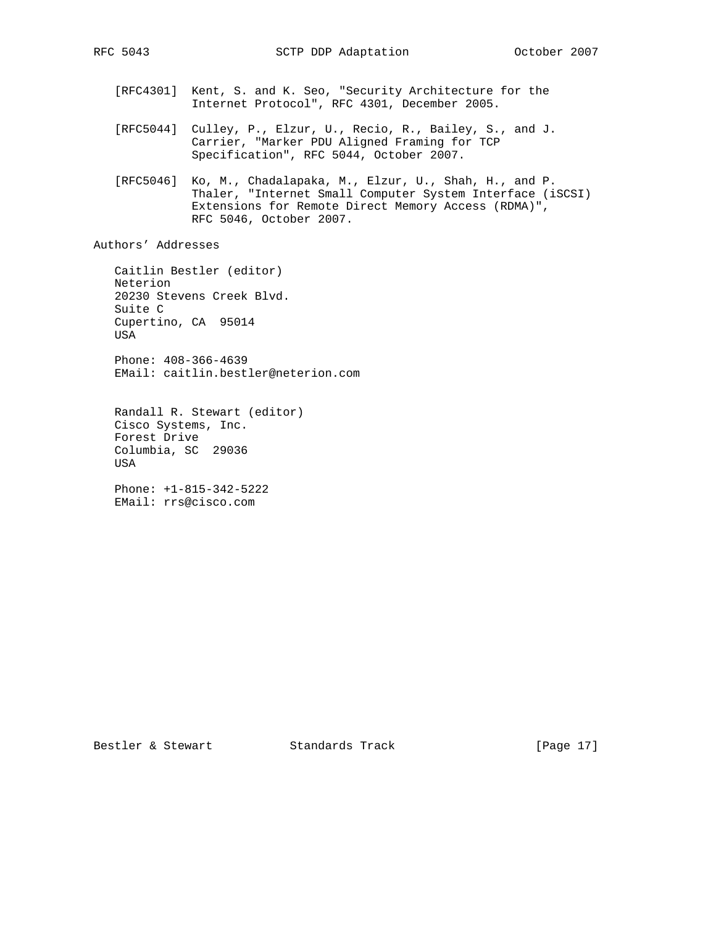- [RFC4301] Kent, S. and K. Seo, "Security Architecture for the Internet Protocol", RFC 4301, December 2005.
- [RFC5044] Culley, P., Elzur, U., Recio, R., Bailey, S., and J. Carrier, "Marker PDU Aligned Framing for TCP Specification", RFC 5044, October 2007.
- [RFC5046] Ko, M., Chadalapaka, M., Elzur, U., Shah, H., and P. Thaler, "Internet Small Computer System Interface (iSCSI) Extensions for Remote Direct Memory Access (RDMA)", RFC 5046, October 2007.

Authors' Addresses

 Caitlin Bestler (editor) Neterion 20230 Stevens Creek Blvd. Suite C Cupertino, CA 95014 USA Phone: 408-366-4639 EMail: caitlin.bestler@neterion.com

 Randall R. Stewart (editor) Cisco Systems, Inc. Forest Drive Columbia, SC 29036 USA

 Phone: +1-815-342-5222 EMail: rrs@cisco.com

Bestler & Stewart Standards Track [Page 17]